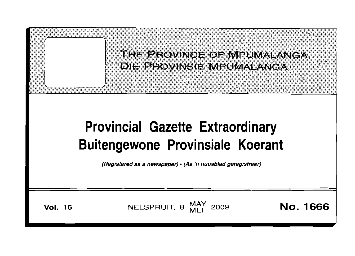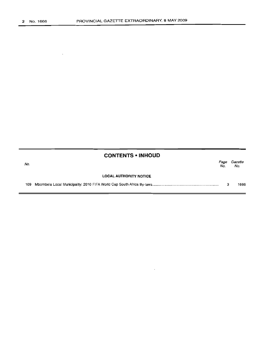$\bar{z}$ 

| <b>CONTENTS • INHOUD</b> |  |  |
|--------------------------|--|--|
|--------------------------|--|--|

| No. |                               | Page<br>No. | Gazette<br>No. |
|-----|-------------------------------|-------------|----------------|
|     | <b>LOCAL AUTHORITY NOTICE</b> |             |                |
| 109 |                               |             | 1666           |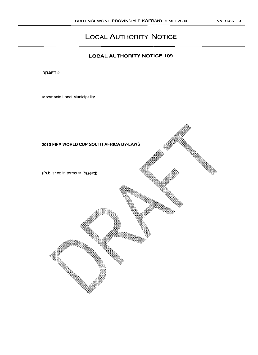# **LOCAL AUTHORITY NOTICE**

# **LOCAL AUTHORITY NOTICE 109**

DRAFT<sub>2</sub>

Mbombela Local Municipality

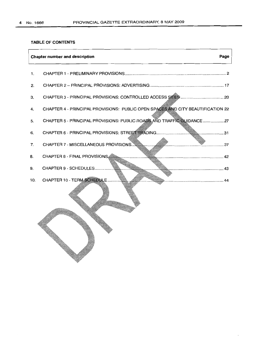# **TABLE OF CONTENTS**

| Page<br><b>Chapter number and description</b> |                                                                                 |  |  |
|-----------------------------------------------|---------------------------------------------------------------------------------|--|--|
| $\mathbf{1}$ .                                |                                                                                 |  |  |
| 2.                                            |                                                                                 |  |  |
| З.                                            |                                                                                 |  |  |
| 4.                                            | CHAPTER 4 - PRINCIPAL PROVISIONS: PUBLIC OPEN SPACES AND CITY BEAUTIFICATION 22 |  |  |
| 5.                                            | CHAPTER 5 - PRINCIPAL PROVISIONS: PUBLIC ROADS AND TRAFFIC GUIDANCE  27         |  |  |
| 6.                                            |                                                                                 |  |  |
| 7.                                            |                                                                                 |  |  |
| 8.                                            |                                                                                 |  |  |
| 9.                                            |                                                                                 |  |  |
| 10.                                           | CHAPTER 10 - TERM SCHEDULE<br>44                                                |  |  |
|                                               |                                                                                 |  |  |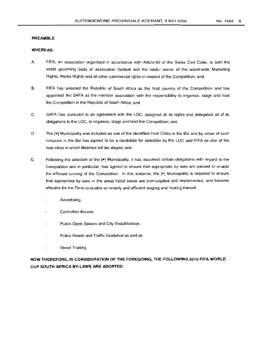# **PREAMBLE**

# **WHEREAS:**

- A. FIFA, an association organised in accordance with Article 60 of the Swiss Civil Code, is both the world governing body of association football and the lawful owner of the world-wide Marketing Rights, Media Rights and all other commercial rights in respect of the Competition; and
- B. FIFA has selected the Republic of South Africa as the host country of the Competition and has appointed the SAFA as the member association with the responsibility to organise, stage and host the Competition in the Republic of South Africa; and
- C. SAFA has, pursuant to an agreement with the LOC, assigned all its rights and delegated all of its obligations to the LOC, to organise, stage and host the Competition; and
- D. The [ $\bullet$ ] Municipality was included as one of the identified Host Cities in the Bid and by virtue of such inclusion in the Bid has agreed to be a candidate for selection by the LOC and FIFA as one of the host cities in which Matches will be staged; and
- E. Following the selection of the **[e]** Municipality, it has assumed certain obligations with regard to the Competition and in particular, has agreed to ensure that appropriate by-laws are passed to enable the efficient running of the Competition. In this instance, the **[e]** Municipality is required to ensure that appropriate by-laws in the areas listed below are promulgated and implemented, and become effective for the Term to enable an orderly and efficient staqinq and hosting thereof:
	- Advertising,
	- Controlled Access,
	- Public Open Spaces and City Beautification,
	- Public Roads and Traffic Guidance as well as
	- Street Trading.

**NOW THEREFORE, IN CONSIDERATION OF THE FOREGOING, THE FOLLOWING 2010 FIFA WORLD CUP SOUTH AFRICA BY-LAWS ARE ADOPTED:**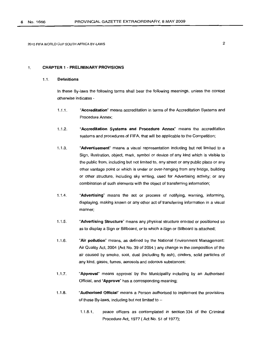# 1. CHAPTER 1 - PRELIMINARY PROVISIONS

# 1.1. Definitions

In these By-laws the following terms shall bear the following meanings, unless the context otherwise indicates -

- 1.1.1. "Accreditation" means accreditation in terms of the Accreditation Systems and Procedure Annex;
- 1.1.2. "Accreditation Systems and Procedure Annex" means the accreditation systems and procedures of FIFA, that will be applicable to the Competition;
- 1.1.3. "Advertisement" means a visual representation including but not limited to a Sign, illustration, object, mark, symbol or device of any kind which is visible to the public from, including but not limited to, any street or any public place or any other vantage point or which is under or over-hanging from any bridge, building or other structure, including sky writing, used for Advertising activity; or any combination of such elements with the object of transferring information;
- 1.1.4. "Advertising" means the act or process of notifying, warning, informing, displaying, making known or any other act of transferring information in a visual manner;
- 1.1.5. "Advertising Structure" means any physical structure erected or positioned so as to display a Sign or Billboard, or to which a Sign or Billboard is attached;
- 1.1.6. "Air pollution" means, as defined by the National Environment Management: Air Quality Act, 2004 (Act No. 39 of 2004 ) any change in the composition of the air caused by smoke, soot, dust (including fly ash), cinders, solid particles of any kind, gases, fumes, aerosols and odorous substances;
- 1.1.7. "Approval" means approval by the Municipality including by an Authorised Official, and "Approve" has a corresponding meaning;
- 1.1.8. "Authorised Official" means a Person authorised to implement the provisions of these By-laws, including but not limited to  $-$ 
	- 1.1.8.1. peace officers as contemplated in section 334 of the Criminal Procedure Act, 1977 (Act No. 51 of 1977);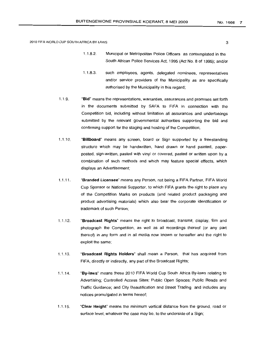- 1.1.8.2. Municipal or Metropolitan Police Officers as contemplated in the South African POlice Services Act, 1995 (Act No. 8 of 1995); and/or
- 1.1.8.3. such employees, agents, delegated nominees, representatives and/or service providers of the Municipality as are specifically authorised by the Municipality in this regard;
- 1.1.9. "Bid" means the representations, warranties, assurances and promises set forth in the documents submitted by SAFA to FIFA in connection with the Competition bid, includmq without limitation all assurances and undertakings submitted by the relevant governmental authorities supporting the bid and confirming support for the staging and hosting of the Competition;
- 1.1.10. "Billboard" means any screen, board or Sign supported by a freestanding structure which may be handwritten, hand drawn or hand painted, paperposted, sign-written, pasted with vinyl or covered, pasted or written upon by a combination of such methods and which may feature special effects, which displays an Advertisement;
- 1.1.11. "Branded Licensee" means any Person, not being a FIFA Partner, FIFA World Cup Sponsor or National Supporter, to which FIFA grants the right to place any of the Competition Marks on products (and related product packaging and product advertising materials) which also bear the corporate identification or trademark of such Person;
- 1.1.12. "Broadcast Rights" means the right to broadcast, transmit, display, film and photograph the Competition, as well as all recordings thereof (or any part thereof) in any form and in all media now known or hereafter and the right to exploit the same;
- 1.1.13. "Broadcast **Rights** Holders" shall mean a Person, that has acquired from FIFA, directly or indirectly, any part of the Broadcast Rights;
- 1.1.14. "By-laws" means these 2010 FIFA World Cup South Africa By-laws relating to Advertising; Controlled Access Sites; Public Open Spaces; Public Roads and Traffic Guidance; and City Beautification and Street Trading and includes any notices promulgated in terms hereof;
- 1.1.15. "Clear Height" means the minimum vertical distance from the ground. road or surface level, whatever the case may be, to the underside of a Sign;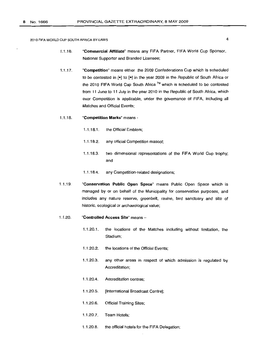- 1.1.16. "Commercial Affiliate" means any FIFA Partner, FIFA World Cup Sponsor, National Supporter and Branded Licensee;
- 1.1.17. "Competition" means either the 2009 Confederations Cup which is scheduled to be contested in [e] to [e] in the year 2009 in the Republic of South Africa or the 2010 FIFA World Cup South Africa ™ which is scheduled to be contested from 11 June to 11 July in the year 2010 in the Republic of South Africa, which ever Competition is applicable, under the governance of FIFA, including all Matches and Official Events;

#### 1.1.18. "Competition Marks" means -

- 1.1.18.1. the Official Emblem;
- 1.1.18.2. any official Competition mascot;
- 1.1.18.3. two dimensional representations of the FIFA World Cup trophy; and
- 1.1.18.4. any Competition-related designations;
- 1.1.19. "Conservation Public Open Space" means Public Open Space which is managed by or on behalf of the Municipality for conservation purposes, and includes any nature reserve, greenbelt, ravine, bird sanctuary and site of historic, ecological or archaeological value;

#### 1.1.20. "Controlled Access Site" means -

- 1.1.20.1. the locations of the Matches including without limitation, the Stadium;
- 1.1.20.2. the locations of the Official Events;
- 1.1.20.3. any other areas in respect of which admission is regulated by Accreditation;
- 1.1.20.4. Accreditation centres;
- 1.1.20.5. [International Broadcast Centre];
- 1.1.20.6. Official Training Sites;
- 1.1.20.7. Team Hotels;
- 1.1.20.8. the official hotels for the FIFA Delegation;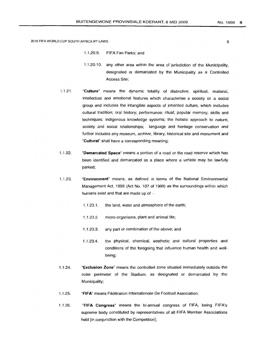- 1.1.20.9. FIFA Fan Parks; and
- 1.1.20.10. any other area within the area of jurisdiction of the Municipality, designated or demarcated by the Municipality as a Controlled Access Site;
- 1.1.21. "Culture" means the dynamic totality of distinctive, spiritual, material, intellectual and emotional features which characterise a society or a social group and includes the intangible aspects of inherited culture, which includes cultural tradition; oral history; performance; ritual; popular memory; skills and techniques; indigenous knowledge systems; the holistic approach to nature, society and social relationships; language and heritage conservation and further includes any museum, archive, library, historical site and monument and "Cultural" shall have a corresponding meaning;
- 1.1.22. "Demarcated Space" means a portion of a road or the road reserve which has been identified and demarcated as a place where a vehicle may be lawfully parked;
- 1.1.23. "Environment" means, as defined in terms of the National Environmental Management Act, 1998 (Act No. 107 of 1998) as the surroundings within which humans exist and that are made up of  $-$ 
	- 1.1.23.1. the land, water and atmosphere of the earth;
	- 1.1.23.2. micro-organisms, plant and animal life;
	- 1.1.23.3. any part or combination of the above; and
	- 1.1.23.4. the physical, chemical, aesthetic and cultural properties and conditions of the foregoing that influence human health and wellbeing;
- 1.1.24. "Exclusion Zone" means the controlled zone situated immediately outside the outer perimeter of the Stadium, as designated or demarcated by the Municipality;
- 1.1.25. "FIFA" means Fédération Internationale De Football Association;
- 1.1.26. "FIFA Congress" means the bi-annual congress of FIFA, being FIFA's supreme body constituted by representatives of all FIFA Member Associations held [in conjunction with the Competition];

5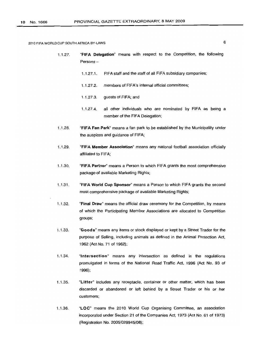- 1.1.27. "FIFA Delegation" means with respect to the Competition, the following Persons -
	- 1.1.27.1. FIFA staff and the staff of all FIFA subsidiary companies;
	- 1.1.27.2. members of FIFA's internal official committees;
	- 1.1.27.3. guests of FIFA; and
	- 1.1.27.4. al/ other individuals who are nominated by FIFA as being a member of the FIFA Delegation;
- 1.1.28. "FIFA Fan Park" means a fan park to be established by the Municipality under the auspices and guidance of FIFA;
- 1.1.29. "FIFA Member Association" means any national football association officially affiliated to FIFA;
- 1.1.30. "FIFA Partner" means a Person to which FIFA grants the most comprehensive package of available Marketing Rights;
- 1.1.31. "FIFA World Cup Sponsor" means a Person to which FIFA grants the second most comprehensive package of available Marketing Rights;
- 1.1.32. "Final Draw" means the official draw ceremony for the Competition, by means of which the Participating Member Associations are allocated to Competition groups;
- 1.1.33. "Goods" means any items or stock displayed or kept by a Street Trader for the purpose of Selling, including animals as defined in the Animal Protection Act, 1962 (Act No. 71 of 1962);
- 1.1.34. "Intersection" means any intersection as defined in the regulations promulgated in terms of the National Road Traffic Act, 1996 (Act No. 93 of 1996);
- 1.1.35. "Litter" includes any receptacle, container or other matter, which has been discarded or abandoned or left behind by a Street Trader or his or her customers;
- 1.1.36. "LOC" means the 2010 World Cup Organising Committee, an association incorporated under Section 21 of the Companies Act, 1973 (Act No. 61 of 1973) (Registration No. 2005/029945/08);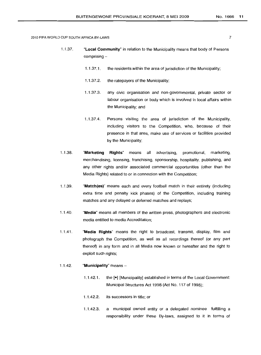- 1.1.37. "Local Community" in relation to the Municipality means that body of Persons  $comprising -$ 
	- 1.1.37.1. the residents within the area of jurisdiction of the Municipality;
	- 1.1.37.2. the ratepayers of the Municipality;
	- 1.1.37.3. any civic organisation and non-governmental, private sector or labour organisation or body which is involved in local affairs within the Municipality; and
	- 1.1.37.4. Persons visiting the area of jurisdiction of the Municipality, including visitors to the Competition, who, because of their presence in that area, make use of services or facilities provided by the Municipality;
- 1.1.38. "Marketing Rights" means all advertising, promotional, marketing, merchandising, licensing, franchising, sponsorship, hospitality, publishing, and any other rights and/or associated commercial opportunities (other than the Media Rights) related to or in connection with the Competition;
- 1.1.39. "Match(es)" means each and every football match in their entirety (including extra time and penalty kick phases) of the Competition, including training matches and any delayed or deferred matches and replays;
- 1.1.40. "Media" means all members of the written press, photographers and electronic media entitled to media Accreditation;
- 1.1.41. "Media Rights" means the right to broadcast, transmit, display, film and photograph the Competition, as well as all recordings thereof (or any part thereof) in any form and in all Media now known or hereafter and the right to exploit such rights;

#### 1.1.42. "Municipality" means  $-$

- 1.1.42.1. the [e] [Municipality] established in terms of the Local Government: Municipal Structures Act 1B98 (Act No. 117 of 1998);
- 1.1.42.2. its successors in title; or
- 1.1.42.3. a municipal owned entity or a delegated nominee fulfilling a responsibility under these By-laws, assigned to it in terms of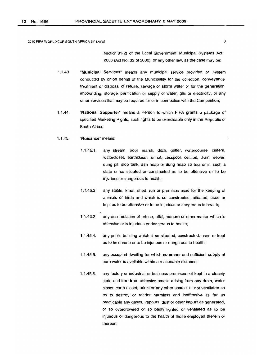section 81(2) of the Local Government: Municipal Systems Act, 2000 (Act No. 32 of 2000), or any other law, as the case may be;

- 1.1.43. "Municipal Services" means any municipal service provided or system conducted by or on behalf of the Municipality for the collection, conveyance, treatment or disposal of refuse, sewage or storm water or for the generation, impounding, storage, purification or supply of water, gas or electricity, or any other services that may be required for or in connection with the Competition;
- 1.1.44. "National Supporter" means a Person to which FIFA grants a package of specified Marketing Rights, such rights to be exercisable only in the Republic of South Africa;

#### 1.1.45. "Nuisance" means:

- 1.1.45.1. any stream, pool, marsh, ditch, gutter, watercourse, cistern, watercloset, earthcloset, urinal, cesspool, cesspit, drain, sewer, dung pit, slop tank, ash heap or dung heap so foul or in such a state or so situated or constructed as to be offensive or to be injurious or dangerous to health;
- 1.1.45.2. any stable, kraal, shed, run or premises used for the keeping of animals or birds and which is so constructed, situated, used or kept as to be offensive or to be injurious or dangerous to health;
- 1.1.45.3. any accumulation of refuse, offal, manure or other matter which is offensive or is injurious or dangerous to health;
- 1.1.45.4. any public building which is so situated, constructed, used or kept as to be unsafe or to be injurious or dangerous to health;
- 1.1.45.5. any occupied dwelling for which no proper and sufficient supply of pure water is available within a reasonable distance;
- 1.1.45.6. any factory or industrial or business premises not kept in a cleanly state and free from offensive smells arising from any drain, water closet, earth closet, urinal or any other source, or not ventilated so as to destroy or render harmless and inoffensive as far as practicable any gases, vapours, dust or other impurities generated, or so overcrowded or so badly lighted or ventilated as to be injurious or dangerous to the health of those employed therein or thereon;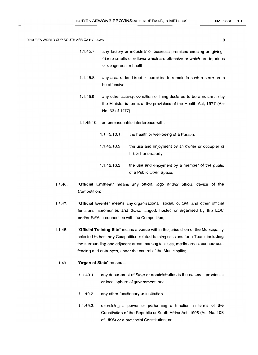- 1.1.45.7. any factory or industrial or business premises causing or giving rise to smells or effluvia which are offensive or which are injurious or dangerous to health;
- 1.1.45.8. any area of land kept or permitted to remain in such a state as to be offensive;
- 1.1.45.9. any other activity, condition or thing declared to be a nuisance by the Minister in terms of the provisions of the Health Act, 1977 (Act No. 63 of 1977);
- 1.1.45.10. an unreasonable interference with:
	- 1.1.45.10.1. the health or well-beinq of a Person;
	- 1.1.45.10.2. the use and enjoyment by an owner or occupier of his or her property;
	- 1.1.45.10.3. the use and enjoyment by a member of the public of a Public Open Space;
- 1.1.46. "Official Emblem" means any official logo and/or official device of the Competition;
- 1.1.47. "Official Events" means any organisational, social, cultural and other official functions, ceremonies and draws staged, hosted or organised by the LOC and/or FIFA in connection with the Competition;
- 1.1.48. "Official Training Site" means a venue within the jurisdiction of the Municipality selected to host any Competition-related training sessions for a Team, including the surrounding and adjacent areas, parking facilities, media areas, concourses, fencing and entrances, under the control of the Municipality;
- 1.1.49. "Organ of State" means -
	- 1.1.49.1. any department of State or administration in the national, provincial or local sphere of government; and
	- 1.1.49.2. any other functionary or institution  $-$
	- 1.1.49.3. exercising a power or performing a function in terms of the Constitution of the Republic of South Africa Act, 1996 (Act No.1 08 of 1996) or a provincial Constitution; or

No. 1666 13

9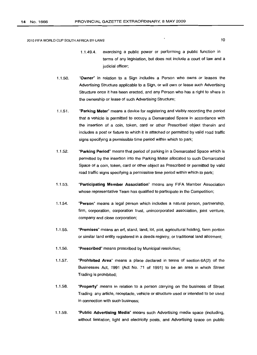- 1.1.49.4. exercismq a public power or performing a public function in terms of any legislation, but does not include a court of law and a judicial officer;
- 1.1.50. "Owner" in relation to a Sign includes a Person who owns or leases the Advertising Structure applicable to a Sign, or will own or lease such Advertising Structure once it has been erected, and any Person who has a right to share in the ownership or lease of such Advertising Structure;
- 1.1.51. "Parking Meter" means a device for registering and visibly recording the period that a vehicle is permitted to occupy a Demarcated Space in accordance with the insertion of a coin, token, card or other Prescribed object therein and includes a post or fixture to which it is attached or permitted by valid road traffic signs specifying a permissible time period within which to park;
- 1.1.52. "Parking Period" means that period of parking in a Demarcated Space which is permitted by the insertion into the Parking Meter allocated to such Demarcated Space of a coin, token, card or other object as Prescribed or permitted by valid road traffic signs specifying a permissible time period within which to park;
- 1.1.53. "Participating Member Association" means any FIFA Member Association whose representative Team has qualified to participate in the Competition;
- 1.1.54. "Person" means a legal person which includes a natural person, partnership, firm, corporation, corporation trust, unincorporated association, joint venture, company and close corporation;
- 1.1.55. "Premises" means an ert, stand, land, lot, plot, agricultural holding, farm portion or similar land entity registered in a deeds registry, or traditional land allotment;
- 1.1.56. "Prescribed" means prescribed by Municipal resolution;
- 1.1.57. "Prohibited Area" means a place declared in terms of section 6A(2) of the Businesses Act, 1991 (Act No. 71 of 1991) to be an area in which Street Trading is prohibited;
- 1.1.58. "Property" means in relation to a person carrying on the business of Street Trading any article, receptacle, vehicle or structure used or intended to be used in connection with such business;
- 1.1.59. "Public Advertising Media" means such Advertising media space (inclUding, without limitation, light and electricity posts, and Advertising space on public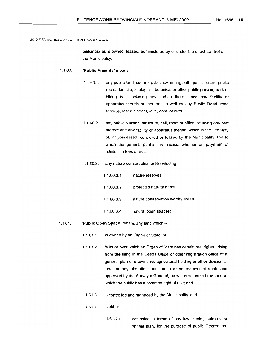buildings) as is owned, leased, administered by or under the direct control of the Municipality;

#### 1.1.60. **"Public Amenity"** means -

- 1.1.60.1. any public land, square, public swimming bath, public resort, public recreation site, zoological, botanical or other public garden, park or hiking trail, including any portion thereof and any facility or apparatus therein or thereon, as well as any Public Road, road reserve, reserve street, lake, dam, or river;
- 1.1.60.2. any public building, structure, hall, room or office including any part thereof and any facility or apparatus therein, which is the Property of, or possessed, controlled or leased by the Municipality and to which the general public has access, whether on payment of admission fees or not;
- 1.1.60.3. any nature conservation area including -

| 1.1.60.3.1. | nature reserves;                  |
|-------------|-----------------------------------|
| 1.1.60.3.2. | protected natural areas;          |
| 1.1.60.3.3. | nature conservation worthy areas; |
| 1.1.60.3.4. | natural open spaces;              |

# 1.1.61. **"Public Open** Space" means any land which -

- 1.1.61.1. is owned by an Organ of State; or
- 1.1.61.2. is let or over which an Organ of State has certain real rights arising from the filing in the Deeds Office or other registration office of a general plan of a township, agricultural holding or other division of land, or any alteration, addition to or amendment of such land approved by the Surveyor General, on which is marked the land to which the public has a common right of use; and
- 1.1.61.3. is controlled and managed by the Municipality; and
- 1.1.61.4. is either $-$ 
	- 1.1.61.4.1. set aside in terms of any law, zoning scheme or spatial plan, for the purpose of public Recreation,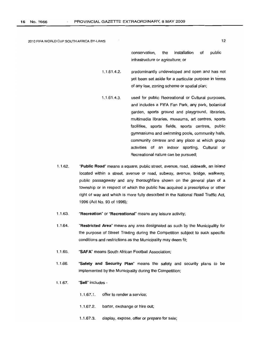conservation, the installation of public infrastructure or agriculture; or

1.1.61.4.2. predominantly undeveloped and open and has not yet been set aside for a particular purpose in terms of any law, zoning scheme or spatial plan;

- 1.1.61.4.3. used for public Recreational or Cultural purposes, and includes a FIFA Fan Park, any park, botanical garden, sports ground and playground, libraries, multimedia libraries, museums, art centres, sports facilities, sports fields, sports centres, public gymnasiums and swimming pools, community halls, community centres and any place at which group activities of an indoor sporting, Cultural or Recreational nature can be pursued;
- 1.1.62. "Public Road" means a square, public street, avenue, road, sidewalk, an island located within a street, avenue or road, subway, avenue, bridge, walkway, public passageway and any thoroughfare shown on the general plan of a township or in respect of which the public has acquired a prescriptive or other right of way and which is more fully described in the National Road Traffic Act, 1996 (Act No. 93 of 1996);
- 1.1.63. "Recreation" or "Becreatlonal" means any leisure activity;
- 1.1.64. "Restricted Area" means any area designated as such by the Municipality for the purpose of Street Trading during the Competition subject to such specific conditions and restrictions as the Municipality may deem fit;
- 1.1.65. "SAFA" means South African Football Association;
- 1.1.66. "Safety and Security Plan" means the safety and security plans to be implemented by the Municipality during the Competition;
- 1.1.67. "Sell" includes -
	- 1.1.67.1. offer to render a service;
	- 1.1.67.2. barter, exchange or hire out;
	- 1.1.67.3. display, expose, offer or prepare for sale;

12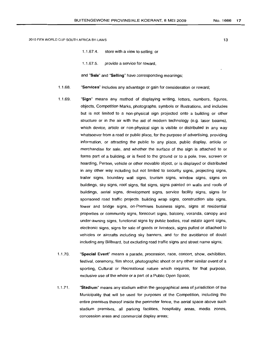- 1.1.67.4. store with a view to selling; or
- 1.1.67.5. provide a service for reward,

and "Sale" and "Selling" have corresponding meanings;

- 1.1.68. "Services" includes any advantage or gain for consideration or reward;
- 1.1.69. "Sign" means any method of displaying writing, letters, numbers, figures, objects, Competition Marks, photographs, symbols or illustrations, and includes but is not limited to a non-physical sign projected onto a building or other structure or in the air with the aid of modern technology (e.g. laser beams), which device, article or non-physical sign is visible or distributed in any way whatsoever from a road or public place, for the purpose of advertising, providing information, or attracting the public to any place, public display, article or merchandise for sale, and whether the surface of the sign is attached to or forms part of a building, or is fixed to the ground or to a pole, tree, screen or hoarding, Person, vehicle or other movable object, or is displayed or distributed in any other way including but not limited to security signs, projecting signs, trailer signs, boundary wall signs, tourism signs, window signs, signs on buildings, sky signs, roof signs, flat signs, signs painted on walls and roofs of buildings, aerial signs, development siqns, service facility signs, signs for sponsored road traffic projects, buildinq wrap signs, construction site signs, tower and bridge signs, on-Premises business signs, signs at residential properties or community signs, forecourt signs, balcony, veranda, canopy and under-awning signs, functional signs by public bodies, real estate agent signs, electronic signs, signs for sale of goods or livestock, signs pulled or attached to vehicles or aircrafts including sky banners, and for the avoidance of doubt including any Billboard, but excluding road traffic signs and street name signs;
- 1.1.70. "Special Event" means a parade, procession, race, concert, show, exhibition, festival, ceremony, film shoot, photographic shoot or any other similar event of a sporting, Cultural or Recreational nature which requires, for that purpose, exclusive use of the whole or a part of a Public Open Space;
- 1.1.71. "Stadium" means any stadium within the geographical area of jurisdiction of the Municipality that will be used for purposes of the Competition, including the entire premises thereof inside the perimeter fence, the aerial space above such stadium premises, all parking facilities, hospitality areas, media zones, concession areas and commercial display areas;

13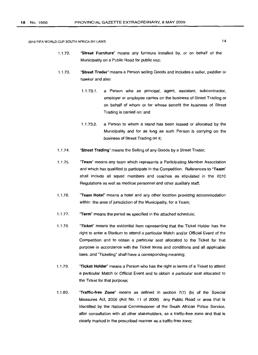- 1.1.72. "Street Furniture" means any furniture installed by, or on behalf of the Municipality on a Public Road for public use;
- 1.1.73. "Street Trader" means a Person selling Goods and includes a seller, peddler or hawker and also:
	- 1.1.73.1. a Person who as principal, agent, assistant, subcontractor, employer or employee carries on the business of Street Trading or on behalf of whom or for whose benefit the business of Street Trading is carried on; and
	- 1.1.73.2. a Person to whom a stand has been leased or allocated by the Municipality and for as long as such Person is carrying on the business of Street Trading on it;
- 1.1.74. "Street Trading" means the Selling of any Goods by a Street Trader;
- 1.1.75. "Team" means any team which represents a Participating Member Association and which has qualified to participate in the Competition. References to "Team" shall include all squad members and coaches as stipulated in the 2010 Regulations as well as medical personnel and other auxiliary staff;
- 1.1.76. "Team Hotel" means a hotel and any other location providing accommodation within the area of jurisdiction of the Municipality, for a Team;
- 1.1.77. "Term" means the period as specified in the attached schedule;
- 1.1.78. "Ticket" means the evidential item representing that the Ticket Holder has the right to enter a Stadium to attend a particular Match and/or Official Event of the Competition and to obtain a particular seat allocated to the Ticket for that purpose in accordance with the Ticket terms and conditions and all applicable laws, and "Ticketing" shall have a corresponding meaning;
- 1.1.79. "Ticket Holder" means a Person who has the right in terms of a Ticket to attend a particular Match or Official Event and to obtain a particular seat allocated to the Ticket for that purpose;
- 1.1.80. "Traffic-free Zone" means as defined in section 7(1) (b) of the Special Measures Act, 2006 (Act No. 11 of 2006) any Public Road or area that is identified by the National Commissioner of the South African Police Service, after consultation with all other stakeholders, as a traffic-free zone and that is clearly marked in the prescribed manner as a traffic-free zone;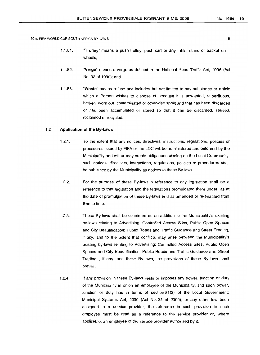- 1.1.81. "Trolley" means a push trolley, push cart or any table, stand or basket on wheels;
- 1.1.82. "Verge" means a verge as defined in the National Road Traffic Act, 1996 (Act No. 93 of 1996); and
- 1.1.83. "Waste" means refuse and includes but not limited to any substance or article which a Person wishes to dispose of because it is unwanted, superfluous, broken, worn out, contaminated or otherwise spoilt and that has been discarded or has been accumulated or stored so that it can be discarded, reused, reclaimed or recycled.

# 1.2. **Application of the By-Laws**

- 1.2.1. To the extent that any notices, directives, instructions, regulations, policies or procedures issued by FIFA or the LOC will be administered and enforced by the Municipality and will or may create obligations binding on the Local Community, such notices, directives, instructions, requlations. policies or procedures shall be published by the Municipality as notices to these By-laws.
- 1.2.2. For the purpose of these By-laws a reference to any legislation shall be a reference to that legislation and the regulations promulgated there under, as at the date of promulgation of these By-laws and as amended or re-enacted from time to time.
- 1.2.3. These By-laws shall be construed as an addition to the Municipality's existing by-laws relating to Advertising; Controlled Access Sites, Public Open Spaces and City Beautification; Public Roads and Traffic Guidance and Street Trading, if any, and to the extent that conflicts may arise between the Municipality's existing by-laws relating to Advertising, Controlled Access Sites, Public Open Spaces and City Beautification; Public Roads and Traffic Guidance and Street Trading , if any, and these By-laws, the provisions of these By-laws shall prevail.
- 1.2.4. If any provision in these By-laws vests or imposes any power, function or duty of the Municipality in or on an employee of the Municipality, and such power, function or duty has in terms of section 81 (2) of the Local Government: Municipal Systems Act, 2000 (Act No. 32 of 2000), or any other law been assigned to a service provider, the reference in such provision to such employee must be read as a reference to the service provider or, where applicable, an employee of the service provider authorised by it.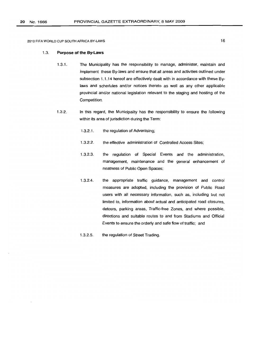# 1.3. **Purpose of the By-Laws**

- 1.3.1. The Municipality has the responsibility to manage, administer, maintain and implement these By-laws and ensure that all areas and activities outlined under subsection 1.1.14 hereof are effectively dealt with in accordance with these Bylaws and schedules and/or notices thereto as well as any other applicable provincial and/or national legislation relevant to the staging and hosting of the Competition.
- 1.3.2. In this regard, the Municipality has the responsibility to ensure the following within its area of jurisdiction during the Term:
	- 1.3.2.1. the regulation of Advertising;
	- 1.3.2.2. the effective administration of Controlled Access Sites;
	- 1.3.2.3. the regulation of Special Events and the administration, management, maintenance and the general enhancement of neatness of Public Open Spaces;
	- 1.3.2.4. the appropriate traffic guidance, management and control measures are adopted, including the provision of Public Road users with all necessary information, such as, including but not limited to, information about actual and anticipated road closures, detours, parking areas, Traffic-free Zones, and where possible, directions and suitable routes to and from Stadiums and Official Events to ensure the orderly and safe flow of traffic; and
	- 1.3.2.5. the regulation of Street Trading.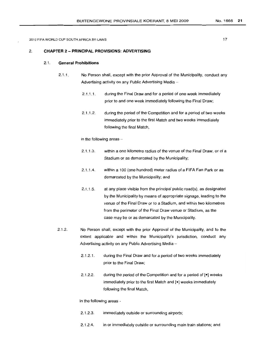#### No.1666 **21**

2010 FIFA WORLD CUP SOUTH AFRICA BY-LAWS

# 2. **CHAPTER** 2 - **PRINCIPAL PROVISIONS: ADVERTISING**

# 2.1 . **General Prohibitions**

- 2.1.1. No Person shall. except with the prior Approval of the Municipality, conduct any Advertising activity on any Public Advertising Media-
	- 2.1.1.1. during the Final Draw and for a period of one week immediately prior to and one week immediately following the Final Draw;
	- 2.1.1.2. during the period of the Competition and for a period of two weeks immediately prior to the first Match and two weeks immediately following the final Match,

in the following areas  $-$ 

- 2.1.1.3. within a one kilometre radius of the venue of the Final Draw, or of a Stadium or as demarcated by the Municipality;
- 2.1.1.4. within a 100 (one hundred) meter radius of a FIFA Fan Park or as demarcated by the Municipality; and
- $2.1.1.5.$ at any place visible from the principal public road(s), as designated by the Municipality by means of appropriate signage, leading to the venue of the Final Draw or to a Stadium, and within two kilometres from the perimeter of the Final Draw venue or Stadium, as the case may be or as demarcated by the Municipality.
- 2.1.2. No Person shall, except with the prior Approval of the Municipality, and to the extent applicable and within the Municipality's jurisdiction. conduct any Advertising activity on any Public Advertising Media-
	- 2.1.2.1. during the Final Draw and for a period of two weeks immediately prior to the Final Draw;
	- 2.1.2.2. during the period of the Competition and for a period of [e] weeks immediately prior to the first Match and [e] weeks immediately following the final Match,

in the following areas -

- 2.1.2.3. immediately outside or surrounding airports;
- 2.1.2.4. in or immediately outside or surrounding main train stations; and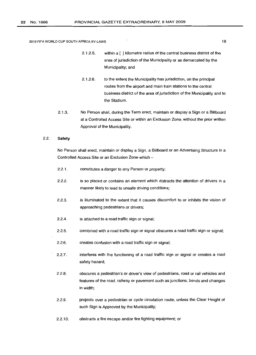- 2.1.2.5. within a [ ] kilometre radius of the central business district of the area of jurisdiction of the Municipality or as demarcated by the Municipality; and
- 2.1.2.6. to the extent the Municipality has jurisdiction, on the principal routes from the airport and main train stations to the central business district of the area of jurisdiction of the Municipality and to the Stadium.
- 2.1.3. No Person shall, during the Term erect, maintain or display a Sign or a Billboard at a Controlled Access Site or within an Exclusion Zone, without the prior written Approval of the Municipality.

#### 2.2. **Safety**

No Person shall erect, maintain or display a Sign, a Billboard or an Advertising Structure in a Controlled Access Site or an Exclusion Zone which -

- 2.2.1. constitutes a danger to any Person or property;
- 2.2.2. is so placed or contains an element which distracts the attention of drivers in a manner likely to lead to unsafe driving conditions;
- 2.2.3. is illuminated to the extent that it causes discomfort to or inhibits the vision of approaching pedestrians or drivers;
- 2.2.4. is attached to a road traffic sign or signal:
- 2.2.5. combined with a road traffic sign or signal obscures a road traffic sign or signal;
- 2.2.6. creates confusion with a road traffic sign or signal;
- 2.2.7. interferes with the functioning of a road traffic sign or signal or creates a road safety hazard;
- 2.2.8. obscures a pedestrian's or driver's view of pedestrians, road or rail vehicles and features of the road, railway or pavement such as junctions, bends and changes in width;
- 2.2.9. projects over a pedestrian or cycle circulation route, unless the Clear Height of such Sign is Approved by the Municipality;
- 2.2.10. obstructs a fire escape and/or fire fighting equipment; or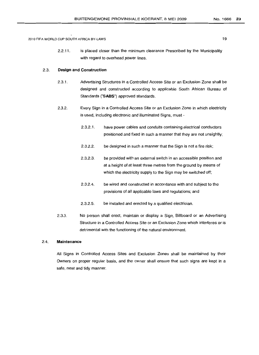2.2.11. is placed closer than the minimum clearance Prescribed by the Municipality with regard to overhead power lines.

# 2.3. **Design and Construction**

- 2.3.1. Advertising Structures in a Controlled Access Site or an Exclusion Zone shall be designed and constructed according to applicable South African Bureau of Standards ("SABS") approved standards.
- 2.3.2. Every Sign in a Controlled Access Site or an Exclusion Zone in which electricity is used, including electronic and illuminated Signs, must·
	- 2.3.2.1. have power cables and conduits containing electrical conductors positioned and fixed in such a manner that they are not unsightly;
	- 2.3.2.2. be designed in such a manner that the Sign is not a fire risk;
	- 2.3.2.3. be provided with an external switch in an accessible position and at a height of at least three metres from the ground by means of which the electricity supply to the Sign may be switched off;
	- 2.3.2.4. be wired and constructed in accordance with and subject to the provisions of all applicable laws and regulations; and
	- 2.3.2.5. be installed and erected by a qualified electrician.
- 2.3.3. No person shall erect, maintain or display a Sign, Billboard or an Advertising Structure in a Controlled Access Site or an Exclusion Zone which interferes or is detrimental with the functioning of the natural environment.

# 2.4. **Maintenance**

All Signs in Controlled Access Sites and Exclusion Zones shall be maintained by their Owners on proper regular basis, and the owner shall ensure that such signs are kept in a safe, neat and tidy manner.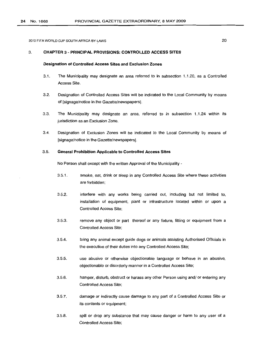20

2010 FIFA WORLD CUP SOUTH AFRICA BY-LAWS

# 3. **CHAPTER** 3 - **PRINCIPAL PROVISIONS: CONTROLLED ACCESS SITES**

# **Designation of Controlled Access Sites and Exclusion Zones**

- 3.1. The Municipality may designate an area referred to in subsection 1.1.20, as a Controlled Access Site.
- 3.2. Designation of Controlled Access Sites will be indicated to the Local Community by means of [signage/notice in the Gazette/newspapers].
- 3.3. The Municipality may designate an area, referred to in subsection 1.1.24 within its jurisdiction as an Exclusion Zone.
- 3.4. Designation of Exclusion Zones will be indicated to the Local Community by means of [signage/notice in the Gazette/newspapers].

# 3.5. **General Prohibition Applicable to Controlled Access Sites**

No Person shall except with the written Approval of the Municipality -

- 3.5.1. smoke, eat, drink or sleep in any Controlled Access Site where these activities are forbidden;
- 3.5.2. interfere with any works being carried out, including but not limited to, installation of equipment, plant or infrastructure located within or upon a Controlled Access Site;
- 3.5.3. remove any object or part thereof or any fixture, fitting or equipment from a Controlled Access Site;
- 3.5.4. bring any animal except guide dogs or animals assisting Authorised Officials in the execution of their duties into any Controlled Access Site;
- 3.5.5. use abusive or otherwise objectionable language or behave in an abusive, objectionable or disorderly manner in a Controlled Access Site;
- 3.5.6. hamper, disturb, obstruct or harass any other Person using and/ or entering any Controlled Access Site;
- 3.5.7. damage or indirectly cause damage to any part of a Controlled Access Site or its contents or equipment;
- 3.5.8. spill or drop any substance that may cause danger or harm to any user of a Controlled Access Site;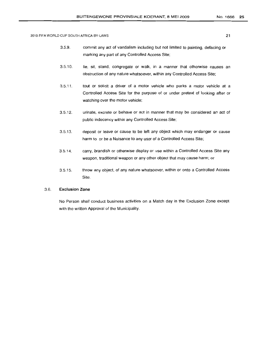- 3.5.9. commit any act of vandalism including but not limited to painting, defacing or marking any part of any Controlled Access Site;
- 3.5.10. lie, sit, stand, congregate or walk, in a manner that otherwise causes an obstruction of any nature whatsoever, within any Controlled Access Site;
- 3.5.11. tout or solicit a driver of a motor vehicle who parks a motor vehicle at a Controlled Access Site for the purpose of or under pretext of looking after or watching over the motor vehicle;
- 3.5.12. urinate, excrete or behave or act in manner that may be considered an act of public indecency within any Controlled Access Site;
- 3.5.13. deposit or leave or cause to be left any object which may endanger or cause harm to or be a Nuisance to any user of a Controlled Access Site;
- 3.5.14. carry, brandish or otherwise display or use within a Controlled Access Site any weapon, traditional weapon or any other object that may cause harm; or
- 3.5.15. throw any object, of any nature whatsoever, within or onto a Controlled Access Site.

# 3.6. **Exclusion Zone**

No Person shall conduct business activities on a Match day in the Exclusion Zone except with the written Approval of the Municipality.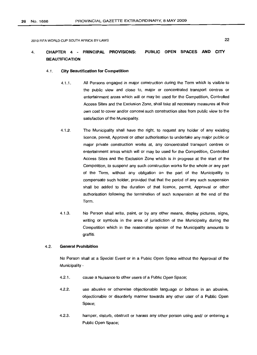#### 4. CHAPTER 4 - PRINCIPAL PROVISIONS: **BEAUTIFICATION** PUBLIC OPEN SPACES AND CITY

#### 4.1. City Beautification for Competition

- 4.1.1. All Persons engaged in major construction during the Term which is visible to the public view and close to, major or concentrated transport centres or entertainment areas which will or may be used for the Competition, Controlled Access Sites and the Exclusion Zone, shall take all necessary measures at their own cost to cover and/or conceal such construction sites from public view to the satisfaction of the Municipality.
- 4.1.2. The Municipality shall have the right, to request any holder of any existing licence, permit, Approval or other authorisation to undertake any major public or major private construction works at, any concentrated transport centres or entertainment areas which will or may be used for the Competition, Controlled Access Sites and the Exclusion Zone which is in progress at the start of the Competition, to suspend any such construction works for the whole or any part of the Term, without any obligation on the part of the Municipality to compensate such holder, provided that that the period of any such suspension shall be added to the duration of that licence, permit, Approval or other authorisation following the termination of such suspension at the end of the Term.
- 4.1.3. No Person shall write, paint, or by any other means, display pictures, signs, writing or symbols in the area of jurisdiction of the Municipality during the Competition which in the reasonable opinion of the Municipality amounts to graffiti.

# 4.2. General Prohibition

No Person shall at a Special Event or in a Public Open Space without the Approval of the Municipality -

- 4.2.1. cause a Nuisance to other users of a Public Open Space;
- 4.2.2. use abusive or otherwise objectionable language or behave in an abusive, objectionable or disorderly manner towards any other user of a Public Open Space;
- 4.2.3. hamper, disturb, obstruct or harass any other person using and/ or entering a Public Open Space;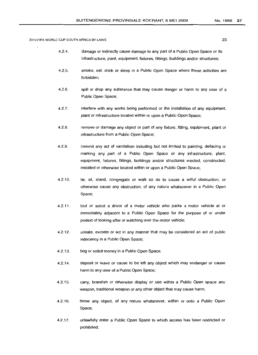- 4.2.4. damage or indirectly cause damage to any part of a Public Open Space or its infrastructure, plant. equipment, fixtures, fittings, buildings and/or structures;
- 4.2.5. smoke, eat, drink or sleep in a Public Open Space where these activities are forbidden;
- 4.2.6. spill or drop any substance that may cause danger or harm to any user of a Public Open Space;
- 4.2.7. interfere with any works being performed or the installation of any equipment, plant or infrastructure located within or upon a Public Open Space;
- 4.2.8. remove or damage any object or part of any fixture, fitting, equipment, plant or infrastructure from a Public Open Space;
- 4.2.9. commit any act of vandalism including but not limited to painting, defacing or marking any part of a Public Open Space or any infrastructure, plant, equipment, fixtures, fittings, buildings and/or structures erected, constructed, installed or otherwise located within or upon a Public Open Space;
- 4.2.10. lie, sit, stand, congregate or walk so as to cause a wilful obstruction, or otherwise cause any obstruction, of any nature whatsoever in a Public Open Space;
- 4.2.11. tout or solicit a driver of a motor vehicle who parks a motor vehicle at or immediately adjacent to a Public Open Space for the purpose of or under pretext of looking after or watching over the motor vehicle;
- 4.2.12. urinate, excrete or act in any manner that may be considered an act of public indecency in a Public Open Space;
- 4.2.13. beg or solicit money in a Public Open Space;
- 4.2.14. deposit or leave or cause to be left any object which may endanger or cause harm to any user of a Public Open Space;
- 4.2.15. carry, brandish or otherwise display or use within a Public Open space any weapon, traditional weapon or any other object that may cause harm;
- 4.2.16. throw any object, of any nature whatsoever, within or onto a Public Open Space;
- 4.2.17. unlawfully enter a Public Open Space to which access has been restricted or prohibited;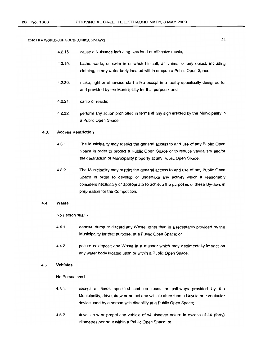- 4.2.18. cause a Nuisance including play loud or offensive music;
- 4.2.19. bathe, wade, or swim in or wash himself, an animal or any object, including clothing, in any water body located within or upon a Public Open Space;
- 4.2.20. make, light or otherwise start a fire except in a facility specifically designed for and provided by the Municipality for that purpose; and
- 4.2.21. camp or reside;
- 4.2.22. perform any action prohibited in terms of any sign erected by the Municipality in a Public Open Space.

# 4.3. **Access Restriction**

- 4.3.1. The Municipality may restrict the general access to and use of any Public Open Space in order to protect a Public Open Space or to reduce vandalism and/or the destruction of Municipality property at any Public Open Space.
- 4.3.2. The Municipality may restrict the general access to and use of any Public Open Space in order to develop or undertake any activity which it reasonably considers necessary or appropriate to achieve the purposes of these By-laws in preparation for the Competition.

# 4.4. **Waste**

No Person shall -

- 4.4.1. deposit, dump or discard any Waste, other than in a receptacle provided by the Municipality for that purpose, at a Public Open Space; or
- 4.4.2. pollute or deposit any Waste in a manner which may detrimentally impact on any water body located upon or within a Public Open Space.

# 4.5. **Vehicles**

No Person shall -

- 4.5.1. except at times specified and on roads or pathways provided by the Municipality, drive, draw or propel any vehicle other than a bicycle or a vehicular device used by a person with disability at a Public Open Space;
- 4.5.2. drive, draw or propel any vehicle of whatsoever nature in excess of 40 (forty) kilometres per hour within a Public Open Space; or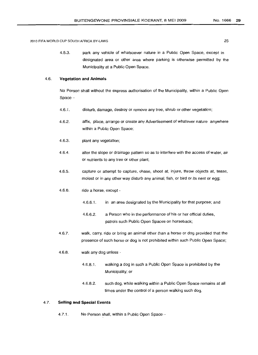4.5.3. park any vehicle of whatsoever nature in a Public Open Space, except in designated area or other area where parking is otherwise permitted by the Municipality at a Public Open Space.

# 4.6. **Vegetation and Animals**

No Person shall without the express authorisation of the Municipality, within a Public Open  $Space -$ 

- 4.6.1. disturb, damage, destroy or remove any tree, shrub or other vegetation;
- 4.6.2. affix, place, arrange or create any Advertisement of whatever nature anywhere within a Public Open Space;
- 4.6.3. plant any vegetation;
- 4.6.4. alter the slope or drainage pattern so as to interfere with the access of water, air or nutrients to any tree or other plant;
- 4.6.5. capture or attempt to capture, chase, shoot at, injure, throw objects at, tease, molest or in any other way disturb any animal, fish, or bird or its nest or egg;
- 4.6.6. ride a horse, except -
	- 4.6.6.1. in an area designated by the Municipality for that purpose; and
	- 4.6.6.2. a Person who in the performance of his or her official duties, patrols such Public Open Spaces on horseback;
- 4.6.7. walk, carry, ride or bring an animal other than a horse or dog provided that the presence of such horse or dog is not prohibited within such Public Open Space;
- 4.6.8. walk any dog unless -
	- 4.6.8.1. walking a dog in such a Public Open Space is prohibited by the Municipality; or
	- 4.6.8.2. such dog, while walking within a Public Open Space remains at all times under the control of a person walking such dog.

# 4.7. **Selling and Special Events**

4.7.1. No Person shall, within a Public Open Space -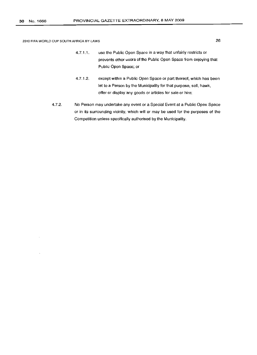- 4.7.1.1. use the Public Open Space in a way that unfairly restricts or prevents other users of the Public Open Space from enjoying that Public Open Space; or
- 4.7.1.2. except within a Public Open Space or part thereof, which has been let to a Person by the Municipality for that purpose, sell, hawk, offer or display any goods or articles for sale or hire;
- 4.7.2. No Person may undertake any event or a Special Event at a Public Open Space or in its surrounding vicinity, which will or may be used for the purposes of the Competition unless specifically authorised by the Municipality.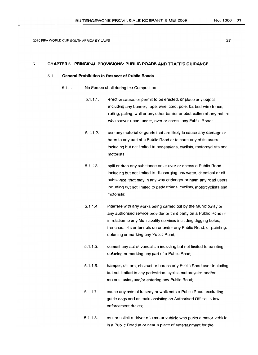27

# 5. **CHAPTER** 5 - **PRINCIPAL PROVISIONS: PUBLIC ROADS AND TRAFFIC GUIDANCE**

# 5.1. **General Prohibition in Respect of Public Roads**

- 5.1.1. No Person shall during the Competition
	- 5.1.1.1. erect or cause, or permit to be erected, or place any object including any banner, rope, wire, cord, pole, barbed-wire fence, railing, paling, wall or any other barrier or obstruction of any nature whatsoever upon, under, over or across any Public Road;
	- 5.1.1.2. use any material or goods that are likely to cause any damage or harm to any part of a Public Road or to harm any of its users including but not limited to pedestrians, cyclists, motorcyclists and motorists;
	- 5.1.1.3. spill or drop any substance on or over or across a Public Road including but not limited to discharging any water, chemical or oil substance, that may in any way endanger or harm any road users includinq but not limited to pedestrians, cyclists, motorcyclists and motorists;
	- 5.1.1.4. interfere with any works being carried out by the Municipality or any authorised service provider or third party on a Public Road or in relation to any Municipality services including digging holes, trenches, pits or tunnels on or under any Public Road; or painting, defacing or marking any Public Road;
	- 5.1.1.5. commit any act of vandalism including but not limited to painting, defacing or marking any part of a Public Road;
	- 5.1.1.6. hamper, disturb, obstruct or harass any Public Road user including but not limited to any pedestrian, cyclist, motorcyclist and/or motorist using and/or entering any Public Road;
	- 5.1.1.7. cause any animal to stray or walk onto a Public Road, excluding guide dogs and animals assisting an Authorised Official in law enforcement duties;
	- 5.1.1.8. tout or solicit a driver of a motor vehicle who parks a motor vehicle in a Public Road at or near a place of entertainment for the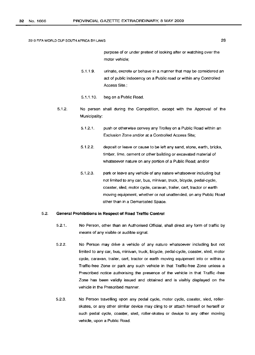purpose of or under pretext of looking after or watching over the motor vehicle;

- 5.1.1.9. urinate, excrete or behave in a manner that may be considered an act of public indecency on a Public road or within any Controlled Access Site.;
- 5.1.1.10. beg on a Public Road.
- 5.1.2. No person shall during the Competition, except with the Approval of the Municipality:
	- 5.1.2.1. push or otherwise convey any Trolley on a Public Road within an Exclusion Zone and/or at a Controlled Access Site;
	- 5.1.2.2. deposit or leave or cause to be left any sand, stone, earth, bricks, timber, lime, cement or other building or excavated material of whatsoever nature on any portion of a Public Road; and/or
	- 5.1.2.3. park or leave any vehicle of any nature whatsoever including but not limited to any car, bus, minivan, truck, bicycle, pedal-cycle, coaster, sled, motor cycle, caravan, trailer, cart, tractor or earth moving equipment, whether or not unattended, on any Public Road other than in a Demarcated Space.

# 5.2. **General Prohibitions in Respect of Road Traffic Control**

- 5.2.1. No Person, other than an Authorised Official, shall direct any form of traffic by means of any visible or audible signal.
- 5.2.2. No Person may drive a vehicle of any nature whatsoever including but not limited to any car; bus, minivan, truck, bicycle, pedal-cycle, coaster, sled, motor cycle, caravan, trailer, cart, tractor or earth moving equipment into or within a Traffic-free Zone or park any such vehicle in that Traffic-free Zone unless a Prescribed notice authorising the presence of the vehicle in that Traffic -free Zone has been validly issued and obtained and is visibly displayed on the vehicle in the Prescribed manner.
- 5.2.3. No Person travelling upon any pedal cycle, motor cycle, coaster, sled, rollerskates, or any other similar device may cling to or attach himself or herself or such pedal cycle, coaster, sled, roller-skates or device to any other moving vehicle, upon a Public Road.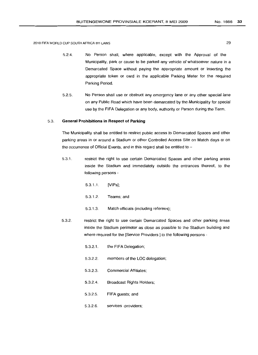- 5.2.4. No Person shall, where applicable, except with the Approval of the Municipality, park or cause to be parked any vehicle of whatsoever nature in a Demarcated Space without paying the appropriate amount or inserting the appropriate token or card in the applicable Parking Meter for the required Parking Period.
- 5.2.5. No Person shall use or obstruct any emergency lane or any other special lane on any Public Road which have been demarcated by the Municipality for special use by the FIFA Delegation or any body, authority or Person during the Term.

# 5.3. **General Prohibitions in Respect of Parking**

The Municipality shall be entitled to restrict public access to Demarcated Spaces and other parking areas in or around a Stadium or other Controlled Access Site on Match days or on the occurrence of Official Events, and in this regard shall be entitled to  $-$ 

- 5.3.1. restrict the right to use certain Demarcated Spaces and other parking areas inside the Stadium and immediately outside the entrances thereof, to the following persons -
	- 5.3.1.1. [VIPs];
	- 5.3.1.2. Teams; and
	- 5.3.1.3. Match officials (including referees);
- 5.3.2. restrict the right to use certain Demarcated Spaces and other parking areas inside the Stadium perimeter as close as possible to the Stadium building and where required for the [Service Providers ] to the following persons -
	- 5.3.2.1. the FIFA Delegation;
	- 5.3.2.2. members of the LOC delegation;
	- 5.3.2.3. Commercial Affiliates;
	- 5.3.2.4. Broadcast Rights Holders;
	- 5.3.2.5. FIFA guests; and
	- 5.3.2.6. services -providers;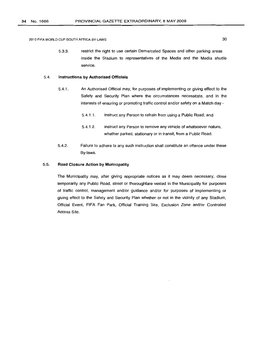5.3.3. restrict the right to use certain Demarcated Spaces and other parking areas inside the Stadium to representatives of the Media and the Media shuttle service.

#### 5.4. **Instructions by Authorised Officials**

- 5.4.1. An Authorised Official may, for purposes of implementing or giving effect to the Safety and Security Plan where the circumstances necessitate, and in the interests of ensuring or promoting traffic control and/or safety on a Match day -
	- 5.4.1.1. instruct any Person to refrain from using a Public Road; and
	- 5.4.1.2. instruct any Person to remove any vehicle of whatsoever nature, whether parked, stationary or in transit, from a Public Road.
- 5.4.2. Failure to adhere to any such instruction shall constitute an offence under these By-laws.

# 5.5. **Road Closure Action by Municipality**

The Municipality may, after giving appropriate notices as it may deem necessary, close temporarily any Public Road, street or thoroughfare vested in the Municipality for purposes of traffic control, management and/or guidance and/or for purposes of implementing or giving effect to the Safety and Security Plan whether or not in the vicinity of any Stadium, Official Event, FIFA Fan Park, Official Training Site, Exclusion Zone and/or Controlled Access Site.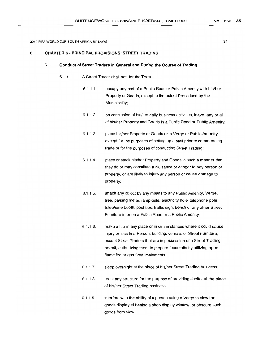# 6. **CHAPTER 6 - PRINCIPAL PROVISIONS: STREET TRADING**

# 6.1 . **Conduct of Street Traders in General and During the Course of Trading**

- 6.1.1. A Street Trader shall not, for the Term  $-$ 
	- 6.1.1.1. occupy any part of a Public Road or Public Amenity with his/her Property or Goods, except to the extent Prescribed by the Municipality;
	- 6.1.1.2. on conclusion of his/her daily business activities, leave any or all of his/her Property and Goods in a Public Road or Public Amenity;
	- 6.1.1.3. place his/her Property or Goods on a Verge or Public Amenity except for the purposes of setting up a stall prior to commencing trade or for the purposes of conducting Street Trading;
	- 6.1.1 .4. place or stack his/her Property and Goods in such a manner that they do or may constitute a Nuisance or danger to any person or property, or are likely to injure any person or cause damage to property;
	- 6.1.1.5. attach any object by any means to any Public Amenity, Verge, tree, parking meter, lamp-pole, electricity pole, telephone pole, telephone booth, post box, traffic sign, bench or any other Street Furniture in or on a Public Road or a Public Amenity;
	- 6.1.1.6. make a fire in any place or in circumstances where it could cause injury or loss to a Person, building, vehicle, or Street Furniture, except Street Traders that are in possession of a Street Trading permit, authorizing them to prepare foodstuffs by utilizing openflame fire or gas-fired implements;
	- 6.1.1.7. sleep overnight at the place of his/her Street Trading business;
	- 6.1.1.8. erect any structure for the purpose of providing shelter at the place of his/her Street Trading business;
	- 6.1.1.9. interfere with the ability of a person using a Verge to view the goods displayed behind a shop display window, or obscure such goods from view;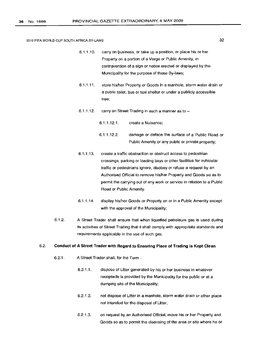- 6.1.1.10. carryon business, or take up a position, or place his or her Property on a portion of a Verge or Public Amenity, in contravention of a sign or notice erected or displayed by the Municipality for the purpose of these By-laws;
- 6.1.1.11. store his/her Property or Goods in a manhole, storm water drain or a public toilet, bus or taxi shelter or under a publicly accessible tree;
- 6.1.1.12. carry on Street Trading in such a manner as to  $-$

6.1.1.12.1. create a Nuisance;

- 6.1.1.12.2. damage or deface the surface of a 'Public Road or Public Amenity or any public or private property;
- 6.1.1.13. create a traffic obstruction or obstruct access to pedestrian crossings, parking or loading bays or other facilities for vehicular traffic or pedestrians ignore, disobey or refuse a request by an Authorised Official to remove his/her Property and Goods so as to permit the carrying out of any work or service in relation to a Public Road or Public Amenity.
- 6.1.1.14. display his/her Goods or Property on or in a Public Amenity except with the approval of the Municipality;
- 6.1.2. A Street Trader shall ensure that when liquefied petroleum gas is used during its activities of Street Trading that it shall comply with appropriate standards and requirements applicable in the use of such gas.

# 6.2. **Conduct of A Street Trader with Regard to Ensuring Place of Trading is Kept Clean**

- 6.2.1. A Street Trader shall, for the Term  $-$ 
	- 6.2.1.1. dispose of Litter generated by his or her business in whatever receptacle is provided by the Municipality for the public or at a dumping site of the Municipality;
	- 6.2.1.2. not dispose of Litter in a manhole, storm water drain or other place not intended for the disposal of Litter;
	- 6.2.1.3. on request by an Authorised Official, move his or her Property and Goods so as to permit the cleansing of the area or site where he or

32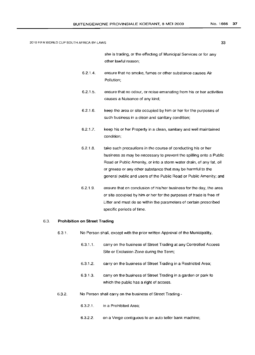she is trading, or the effecting of Municipal Services or for any other lawful reason;

- 6.2.1.4. ensure that no smoke, fumes or other substance causes Air Pollution;
- 6.2.1.5. ensure that no odour, or noise emanating from his or her activities causes a Nuisance of any kind;
- 6.2.1.6. keep the area or site occupied by him or her for the purposes of such business in a clean and sanitary condition;
- 6.2.1.7. keep his or her Property in a clean, sanitary and well maintained condition;
- 6.2.1.8. take such precautions in tne course of conducting his or her business as may be necessary to prevent the spilling onto a Public Road or Public Amenity, or into a storm water drain, of any fat, oil or grease or any other substance that may be harmful to the general public and users of the Public Road or Public Amenity; and
- 6.2.1.9. ensure that on conclusion of his/her business for the day, the area or site occupied by him or her for the purposes of trade is free of Litter and must do so within the parameters of certain prescribed specific periods of time.

## 6.3. **Prohibition on Street Trading**

- 6.3.1. No Person shall, except with the prior written Approval of the Municipality,
	- 6.3.1.1. carryon the business of Street Trading at any Controlled Access Site or Exclusion Zone during the Term;
	- 6.3.1.2. carry on the business of Street Trading in a Restricted Area;
	- 6.3.1.3. carry on the business of Street Trading in a garden or park to which the public has a right of access.
- 6.3.2. No Person shall carryon the business of Street Trading
	- 6.3.2.1. in a Prohibited Area;
	- 6.3.2.2. on a Verge contiguous to an auto teller bank machine;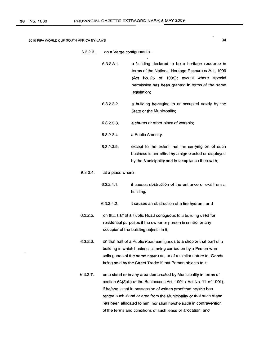6.3.2.3. on a Verge contiguous to -

6.3.2.3.1. a building declared to be a heritage resource in terms of the National Heritage Resources Act, 1999 (Act No.25 of 1999); except where special permission has been granted in terms of the same legislation;

- 6.3.2.3.2. a building belonging to or occupied solely by the State or the Municipality;
- 6.3.2.3.3. a church or other place of worship;
- 6.3.2.3.4. a Public Amenity

6.3.2.3.5. except to the extent that the carrying on of such business is permitted by a sign erected or displayed by the Municipality and in compliance therewith;

### 6.3.2.4. at a place where -

- 6.3.2.4.1. it causes obstruction of the entrance or exit from a building;
- 6.3.2.4.2. it causes an obstruction of a fire hydrant; and
- 6.3.2.5. on that half of a Public Road contiguous to a building used for residential purposes if the owner or person in control or any occupier of the building objects to it;

6.3.2.6. on that half of a Public Road contiguous to a shop or that part of a building in which business is being carried on by a Person who sells goods of the same nature as, or of a similar nature to, Goods being sold by the Street Trader if that Person objects to it;

6.3.2.7. on a stand or in any area demarcated by Municipality in terms of section 6A(3)(b) of the Businesses Act, 1991 (Act No. 71 of 1991), if he/she is not in possession of written proof that he/she has rented such stand or area from the Municipality or that such stand has been allocated to him; nor shall he/she trade in contravention of the terms and conditions of such lease or allocation; and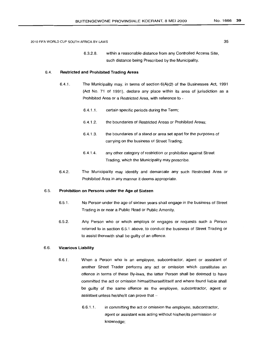6.3.2.8. within a reasonable distance from any Controlled Access Site, such distance being Prescribed by the Municipality.

# 6.4. **Restricted and Prohibited Trading Areas**

- 6.4.1. The Municipality may, in terms of section 6(A)(2) of the Businesses Act, 1991 (Act No. 71 of 1991), declare any place within its area of jurisdiction as a Prohibited Area or a Restricted Area, with reference to -
	- 6.4.1.1. certain specific periods during the Term;
	- 6.4.1.2. the boundaries of Restricted Areas or Prohibited Areas;
	- 6.4.1.3. the boundaries of a stand or area set apart for the purposes of carrying on the business of Street Trading;
	- 6.4.1.4. any other category of restriction or prohibition against Street Trading, which the Municipality may prescribe.
- 6.4.2. The Municipality may identify and demarcate any such Restricted Area or Prohibited Area in any manner it deems appropriate.

#### 6.5. **Prohibition on Persons under the Age of Sixteen**

- 6.5.1. No Person under the age of sixteen years shall engage in the business of Street Trading in or near a Public Road or Public Amenity.
- 6.5.2. Any Person who or which employs or engages or requests such a Person referred to in section 6.5.1 above. to conduct the business of Street Trading or to assist therewith shall be guilty of an offence.

#### 6.6. **Vicarious Liability**

- 6.6.1. When a Person who is an employee, subcontractor, agent or assistant of another Street Trader performs any act or omission which constitutes an offence in terms of these By-laws, the latter Person shall be deemed to have committed the act or omission himself/herself/itself and where found liable shall be guilty of the same offence as the employee, subcontractor, agent or assistant unless he/she/it can prove that  $-$ 
	- 6.6.1.1. in committing the act or omission the employee, subcontractor, agent or assistant was acting without his/her/its permission or knowledge;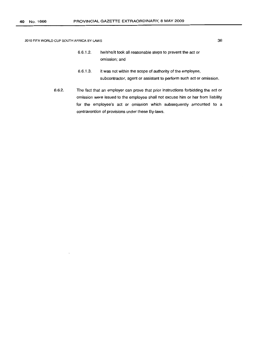- 6.6.1.2. he/she/it took all reasonable steps to prevent the act or omission; and
- 6.6.1.3. it was not within the scope of authority of the employee, subcontractor, agent or assistant to perform such act or omission.
- 6.6.2. The fact that an employer can prove that prior instructions forbidding the act or omission were issued to the employee shall not excuse him or her from liability for the employee's act or omission which subsequently amounted to a contravention of provisions under these By-laws.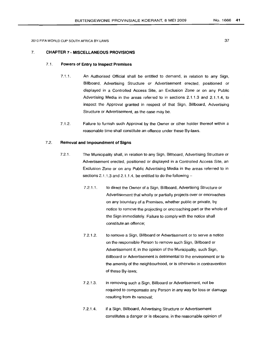# 7. **CHAPTER 7 - MISCELLANEOUS PROVISIONS**

# 7.1. **Powers of Entry to Inspect Premises**

- 7.1.1. An Authorised Official shall be entitled to demand, in relation to any Sign, Billboard, Advertising Structure or Advertisement erected, positioned or displayed in a Controlled Access Site, an Exclusion Zone or on any Public Advertising Media in the areas referred to in sections 2.1.1.3 and 2.1.1.4, to inspect the Approval granted in respect of that Sign, Billboard, Advertising Structure or Advertisement, as the case may be.
- 7.1.2. Failure to furnish such Approval by the Owner or other holder thereof within a reasonable time shall constitute an offence under these By-laws.

# 7.2. **Removal and Impoundment of Signs**

- 7.2.1. The Municipality shall, in relation to any Sign, Billboard, Advertising Structure or Advertisement erected, positioned or displayed in a Controlled Access Site, an Exclusion Zone or on any Public Advertising Media in the areas referred to in sections 2.1.1.3 and 2.1.1.4, be entitled to do the following  $-$ 
	- 7.2.1.1. to direct the Owner of a Siqn, Billboard, Advertising Structure or Advertisement that wholly or partially projects over or encroaches on any boundary of a Premises, whether public or private, by notice to remove the projecting or encroaching part or the whole of the Sign immediately. Failure to comply with the notice shall constitute an offence;
	- 7.2.1.2. to remove a Sign, Billboard or Advertisement or to serve a notice on the responsible Person to remove such Sign, Billboard or Advertisement if, in the opinion of the Municipality, such Sign, Billboard or Advertisement is detrimental to the environment or to the amenity of the neighbourhood, or is otherwise in contravention of these By-laws;
	- 7.2.1.3. in removing such a Sign, Billboard or Advertisement, not be required to compensate any Person in any way for loss or damage resulting from its removal;
	- 7.2.1.4. if a Sign, Billboard, Advertising Structure or Advertisement constitutes a danger or is obscene, in the reasonable opinion of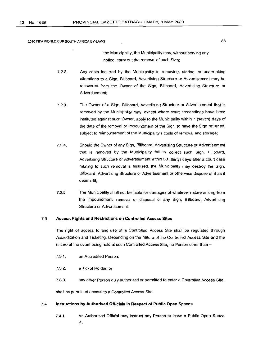the Municipality, the Municipality may, without serving any notice, carry out the removal of such Sign;

- 7.2.2. Any costs incurred by the Municipality in removing, storing, or undertaking alterations to a Sign, Billboard, Advertising Structure or Advertisement may be recovered from the Owner of the Sign, Billboard, Advertising Structure or Advertisement;
- 7.2.3. The Owner of a Sign, Billboard, Advertising Structure or Advertisement that is removed by the Municipality may, except where court proceedings have been instituted against such Owner, apply to the Municipality within 7 (seven) days of the date of the removal or impoundment of the Sign, to have the Sign returned, subject to reimbursement of the Municipality's costs of removal and storage;
- 7.2.4. Should the Owner of any Sign, Billboard, Advertising Structure or Advertisement that is removed by the Municipality fail to collect such Sign, Billboard, Advertising Structure or Advertisement within 30 (thirty) days after a court case relating to such removal is finalised, the Municipality may destroy the Sign, Billboard, Advertising Structure or Advertisement or otherwise dispose of it as it deems fit;
- 7.2.5. The Municipality shall not be liable for damages of whatever nature arising from the impoundment, removal or disposal of any Sign, Billboard, Advertising Structure or Advertisement.

# 7.3. **Access Rights and Restrictions on Controlled Access Sites**

The right of access to and use of a Controlled Access Site shall be regulated through Accreditation and Ticketing. Depending on the nature of the Controlled Access Site and the nature of the event being held at such Controlled Access Site, no Person other than -

- 7.3.1. an Accredited Person;
- 7.3.2. a Ticket Holder; or
- 7.3.3. any other Person duly authorised or permitted to enter a Controlled Access Site,

shall be permitted access to a Controlled Access Site.

# 7.4. **Instructions by Authorised Officials in Respect of Public Open Spaces**

7.4.1. An Authorised Official may instruct any Person to leave a Public Open Space if -

38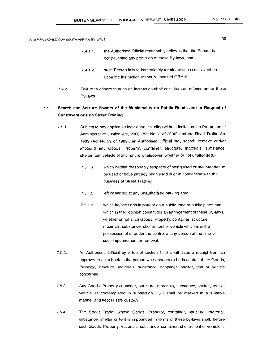- 7.4.1.1. the Authorised Official reasonably believes that the Person is contravening any provision of these By-laws, and
- 7.4.1.2. such Person fails to immediately terminate such contravention upon the instruction of that Authorised Official.
- 7.4.2. Failure to adhere to such an instruction shall constitute an offence under these By-laws.

# 7.5. **Search and Seizure Powers of the Municipality on Public Roads and in Respect of Contraventions on Street Trading**

- 7.5.1. Subject to any applicable legislation including without limitation the Promotion of Administrative Justice Act, 2000 (Act No. 3 of 2000) and the Road Traffic Act 1989 (Act No 29 of 1989), an Authorised Official may search, remove and/or impound any Goods, Property, container, structure, materials, substance, shelter, tent vehicle of any nature whatsoever, whether or not unattended,:-
	- 7.5.1.1. which he/she reasonably suspects of being used or are intended to be used or have already been used in or in connection with the business of Street Trading;
	- 7.5.1.2. left or parked at any unauthorised parking area;
	- 7.5.1.3. which he/she finds in park or on a public road or public place and which in their opinion constitutes an infringement of these By-laws, whether or not such Goods, Property, container, structure, materials, substance, shelter, tent or vehicle which is in the possession of or under the control of any person at the time of such impoundment or removal.
- 7.5.2. An Authorised Official by virtue of section 1.1.8 shall issue a receipt from an approved receipt book to the person who appears to be in control of the Goods, Property, structure, materials, substance, container, shelter, tent or vehicle concerned.
- 7.5.3. Any Goods, Property container, structure, materials, substance, shelter, tent or vehicle as contemplated in subsection 7.5.1 shall be marked in a suitable manner and kept in safe custody.
- 7.5.4. The Street Trader whose Goods, Property, container, structure, material, substance, shelter or tent is impounded in terms of these by-laws shall, before such Goods, Property, materials, substance, container, shelter, tent or vehicle is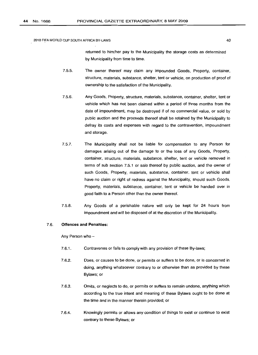returned to him/her pay to the Municipality the storage costs as determined by Municipality from time to time.

- 7.5.5. The owner thereof may claim any impounded Goods, Property, container, structure, materials, substance, shelter, tent or vehicle, on production of proof of ownership to the satisfaction of the Municipality.
- 7.5.6. Any Goods, Property, structure, materials, substance, container, shelter, tent or vehicle which has not been claimed within a period of three months from the date of impoundment, may be destroyed if of no commercial value, or sold by public auction and the proceeds thereof shall be retained by the Municipality to defray its costs and expenses with regard to the contravention, impoundment and storage.
- 7.5.7. The Municipality shall not be liable for compensation to any Person for damages arising out of the damage to or the loss of any Goods, Property, container, structure, materials, substance, shelter, tent or vehicle removed in terms of sub section 7.5.1 or sale thereof by public auction, and the owner of such Goods, Property, materials, substance, container, tent or vehicle shall have no claim or right of redress against the Municipality, should such Goods, Property, materials, substance, container, tent or vehicle be handed over in good faith to a Person other than the owner thereof.
- 7.5.8. Any Goods of a perishable nature will only be kept for 24 hours from impoundment and will be disposed of at the discretion of the Municipality.

# 7.6. **Offences and Penalties:**

Any Person who -

- 7.6.1. Contravenes or fails to comply with any provision of these By-laws;
- 7.6.2. Does, or causes to be done, or permits or suffers to be done, or is concerned in doing, anything whatsoever contrary to or otherwise than as provided by these Bylaws; or
- 7.6.3. Omits, or neglects to do, or permits or suffers to remain undone, anything which according to the true intent and meaning of these Bylaws ought to be done at the time and in the manner therein provided; or
- 7.6.4. Knowingly permits or allows any condition of things to exist or continue to exist contrary to these Bylaws; or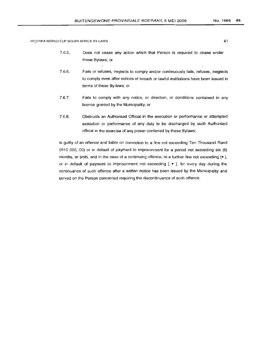- 7.6.5. Does not cease any action which that Person is required to cease under these Bylaws; or
- 7.6.6. Fails or refuses, neglects to comply and/or continuously fails, refuses, neglects to comply even after notices of breach or lawful institutions have been issued in terms of these By-laws; or
- 7.6.7. Fails to comply with any notice, or direction, or conditions contained in any licence granted by the Municipality; or
- 7.6.8. Obstructs an Authorised Official in the execution or performance or attempted execution or performance of any duty to be discharged by such Authorised official in the exercise of any power conferred by these Bylaws;

is guilty of an offence and liable on conviction to a fine not exceeding Ten Thousand Rand (R10 000, 00) or in default of payment to imprisonment for a period not exceeding six (6) months, or both, and in the case of a continuing offence, to a further fine not exceeding  $[•]$ , or in default of payment to imprisonment not exceeding  $[ \bullet ]$ , for every day during the continuance of such offence after a written notice has been issued by the Municipality and served on the Person concerned requiring the discontinuance of such offence.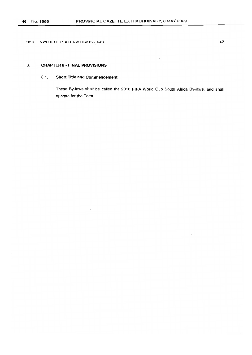# 8. **CHAPTER 8 - FINAL PROVISIONS**

# 8.1. **Short Title and Commencement**

These By-laws shall be called the 2010 **FIFA** World Cup South Africa By-laws, and shall operate for the Term.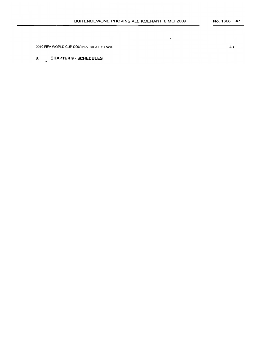$\ddot{\phantom{a}}$ 

2010 FIFA WORLD CUP SOUTH AFRICA BY-LAWS

# 9. **CHAPTER 9 - SCHEDULES**

 $\cdot$ 

43